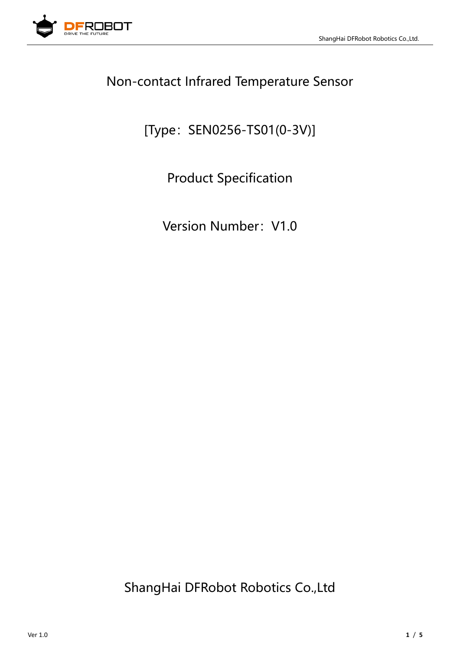

### Non-contact Infrared Temperature Sensor

[Type: SEN0256-TS01(0-3V)]

Product Specification

Version Number: V1.0

ShangHai DFRobot Robotics Co.,Ltd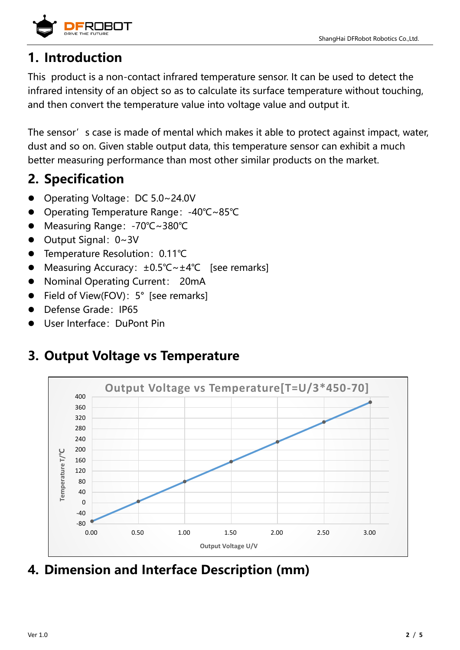

### **1. Introduction**

This product is a non-contact infrared temperature sensor. It can be used to detect the infrared intensity of an object so as to calculate its surface temperature without touching, and then convert the temperature value into voltage value and output it.

The sensor's case is made of mental which makes it able to protect against impact, water, dust and so on. Given stable output data, this temperature sensor can exhibit a much better measuring performance than most other similar products on the market.

# **2. Specification**

- Operating Voltage: DC 5.0~24.0V
- ⚫ Operating Temperature Range:-40℃~85℃
- Measuring Range: -70℃~380℃
- Output Signal: 0~3V
- Temperature Resolution: 0.11℃
- Measuring Accuracy: ±0.5℃~±4℃ [see remarks]
- Nominal Operating Current: 20mA
- Field of View(FOV): 5° [see remarks]
- Defense Grade: IP65
- User Interface: DuPont Pin

## **3. Output Voltage vs Temperature**



**4. Dimension and Interface Description (mm)**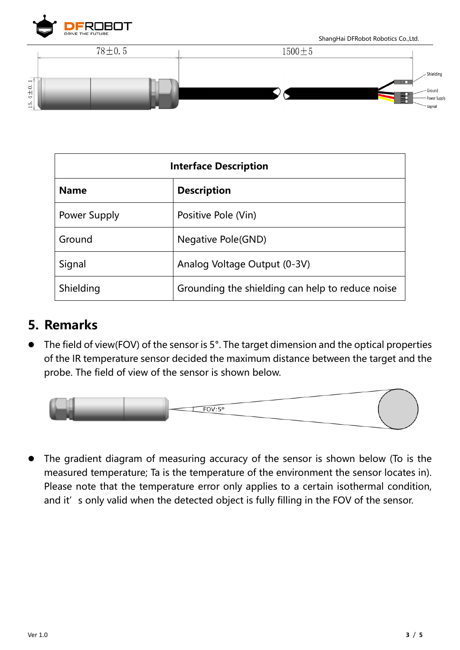

ShangHai DFRobot Robotics Co.,Ltd.



| <b>Interface Description</b> |                                                  |
|------------------------------|--------------------------------------------------|
| <b>Name</b>                  | <b>Description</b>                               |
| Power Supply                 | Positive Pole (Vin)                              |
| Ground                       | <b>Negative Pole(GND)</b>                        |
| Signal                       | Analog Voltage Output (0-3V)                     |
| Shielding                    | Grounding the shielding can help to reduce noise |

#### **5. Remarks**

The field of view(FOV) of the sensor is 5°. The target dimension and the optical properties of the IR temperature sensor decided the maximum distance between the target and the probe. The field of view of the sensor is shown below.



⚫ The gradient diagram of measuring accuracy of the sensor is shown below (To is the measured temperature; Ta is the temperature of the environment the sensor locates in). Please note that the temperature error only applies to a certain isothermal condition, and it' s only valid when the detected object is fully filling in the FOV of the sensor.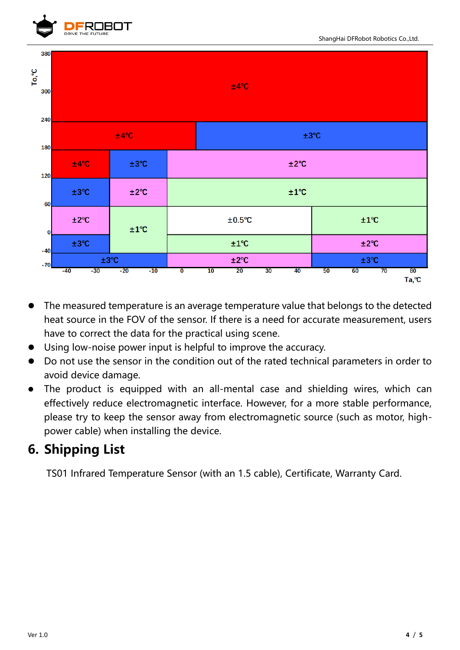



- ⚫ The measured temperature is an average temperature value that belongs to the detected heat source in the FOV of the sensor. If there is a need for accurate measurement, users have to correct the data for the practical using scene.
- Using low-noise power input is helpful to improve the accuracy.
- ⚫ Do not use the sensor in the condition out of the rated technical parameters in order to avoid device damage.
- ⚫ The product is equipped with an all-mental case and shielding wires, which can effectively reduce electromagnetic interface. However, for a more stable performance, please try to keep the sensor away from electromagnetic source (such as motor, highpower cable) when installing the device.

### **6. Shipping List**

TS01 Infrared Temperature Sensor (with an 1.5 cable), Certificate, Warranty Card.